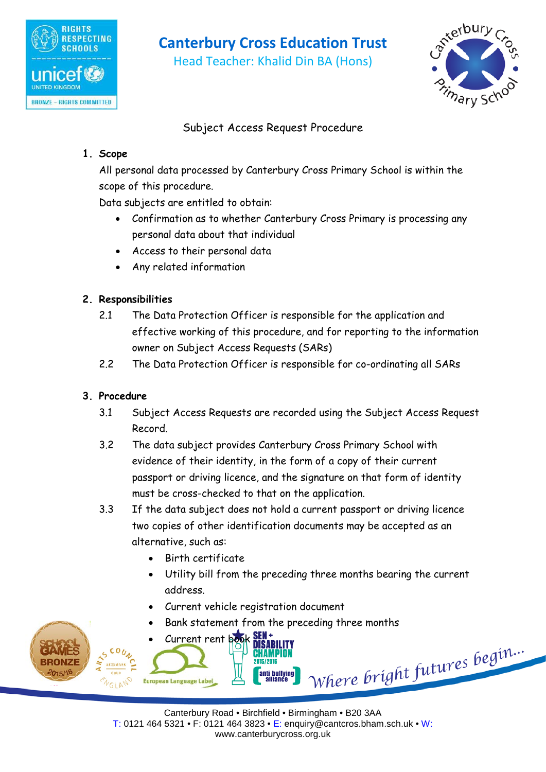

## **Canterbury Cross Education Trust**

Head Teacher: Khalid Din BA (Hons)



## Subject Access Request Procedure

#### **1. Scope**

All personal data processed by Canterbury Cross Primary School is within the scope of this procedure.

Data subjects are entitled to obtain:

- Confirmation as to whether Canterbury Cross Primary is processing any personal data about that individual
- Access to their personal data
- Any related information

### **2. Responsibilities**

- 2.1 The Data Protection Officer is responsible for the application and effective working of this procedure, and for reporting to the information owner on Subject Access Requests (SARs)
- 2.2 The Data Protection Officer is responsible for co-ordinating all SARs

## **3. Procedure**

- 3.1 Subject Access Requests are recorded using the Subject Access Request Record.
- 3.2 The data subject provides Canterbury Cross Primary School with evidence of their identity, in the form of a copy of their current passport or driving licence, and the signature on that form of identity must be cross-checked to that on the application.
- 3.3 If the data subject does not hold a current passport or driving licence two copies of other identification documents may be accepted as an alternative, such as:
	- Birth certificate
	- Utility bill from the preceding three months bearing the current address.
	- Current vehicle registration document
	- Bank statement from the preceding three months

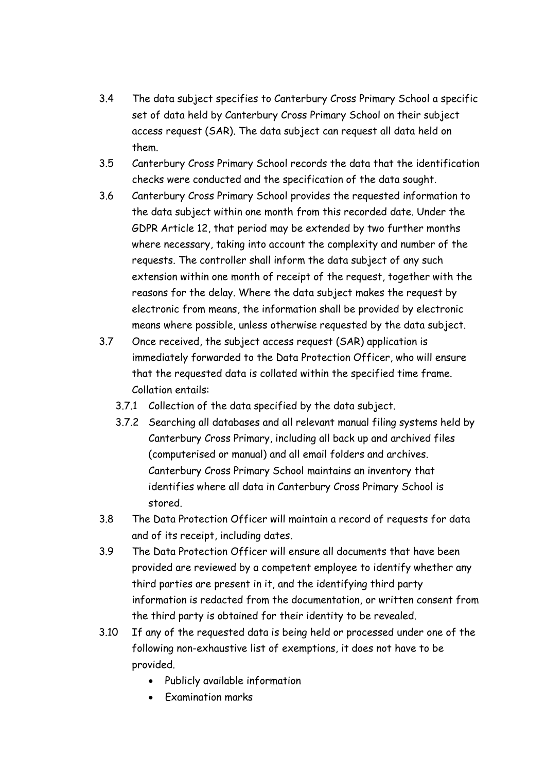- 3.4 The data subject specifies to Canterbury Cross Primary School a specific set of data held by Canterbury Cross Primary School on their subject access request (SAR). The data subject can request all data held on them.
- 3.5 Canterbury Cross Primary School records the data that the identification checks were conducted and the specification of the data sought.
- 3.6 Canterbury Cross Primary School provides the requested information to the data subject within one month from this recorded date. Under the GDPR Article 12, that period may be extended by two further months where necessary, taking into account the complexity and number of the requests. The controller shall inform the data subject of any such extension within one month of receipt of the request, together with the reasons for the delay. Where the data subject makes the request by electronic from means, the information shall be provided by electronic means where possible, unless otherwise requested by the data subject.
- 3.7 Once received, the subject access request (SAR) application is immediately forwarded to the Data Protection Officer, who will ensure that the requested data is collated within the specified time frame. Collation entails:
	- 3.7.1 Collection of the data specified by the data subject.
	- 3.7.2 Searching all databases and all relevant manual filing systems held by Canterbury Cross Primary, including all back up and archived files (computerised or manual) and all email folders and archives. Canterbury Cross Primary School maintains an inventory that identifies where all data in Canterbury Cross Primary School is stored.
- 3.8 The Data Protection Officer will maintain a record of requests for data and of its receipt, including dates.
- 3.9 The Data Protection Officer will ensure all documents that have been provided are reviewed by a competent employee to identify whether any third parties are present in it, and the identifying third party information is redacted from the documentation, or written consent from the third party is obtained for their identity to be revealed.
- 3.10 If any of the requested data is being held or processed under one of the following non-exhaustive list of exemptions, it does not have to be provided.
	- Publicly available information
	- Examination marks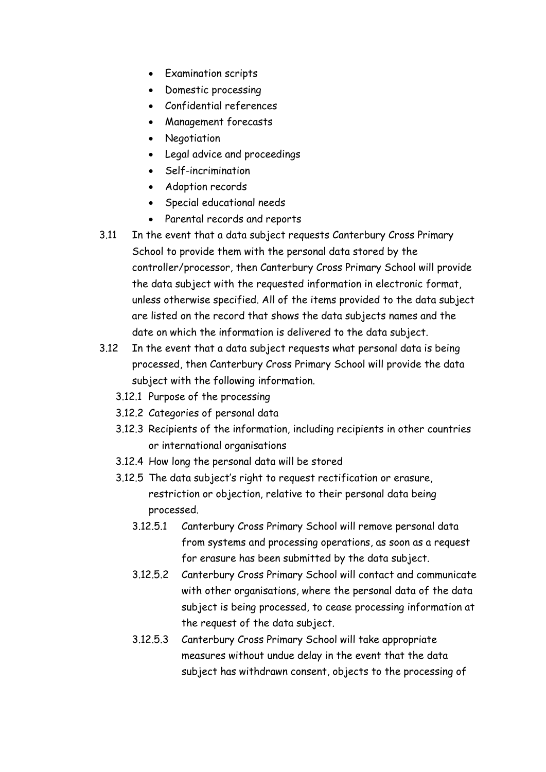- Examination scripts
- Domestic processing
- Confidential references
- Management forecasts
- Negotiation
- Legal advice and proceedings
- Self-incrimination
- Adoption records
- Special educational needs
- Parental records and reports
- 3.11 In the event that a data subject requests Canterbury Cross Primary School to provide them with the personal data stored by the controller/processor, then Canterbury Cross Primary School will provide the data subject with the requested information in electronic format, unless otherwise specified. All of the items provided to the data subject are listed on the record that shows the data subjects names and the date on which the information is delivered to the data subject.
- 3.12 In the event that a data subject requests what personal data is being processed, then Canterbury Cross Primary School will provide the data subject with the following information.
	- 3.12.1 Purpose of the processing
	- 3.12.2 Categories of personal data
	- 3.12.3 Recipients of the information, including recipients in other countries or international organisations
	- 3.12.4 How long the personal data will be stored
	- 3.12.5 The data subject's right to request rectification or erasure, restriction or objection, relative to their personal data being processed.
		- 3.12.5.1 Canterbury Cross Primary School will remove personal data from systems and processing operations, as soon as a request for erasure has been submitted by the data subject.
		- 3.12.5.2 Canterbury Cross Primary School will contact and communicate with other organisations, where the personal data of the data subject is being processed, to cease processing information at the request of the data subject.
		- 3.12.5.3 Canterbury Cross Primary School will take appropriate measures without undue delay in the event that the data subject has withdrawn consent, objects to the processing of